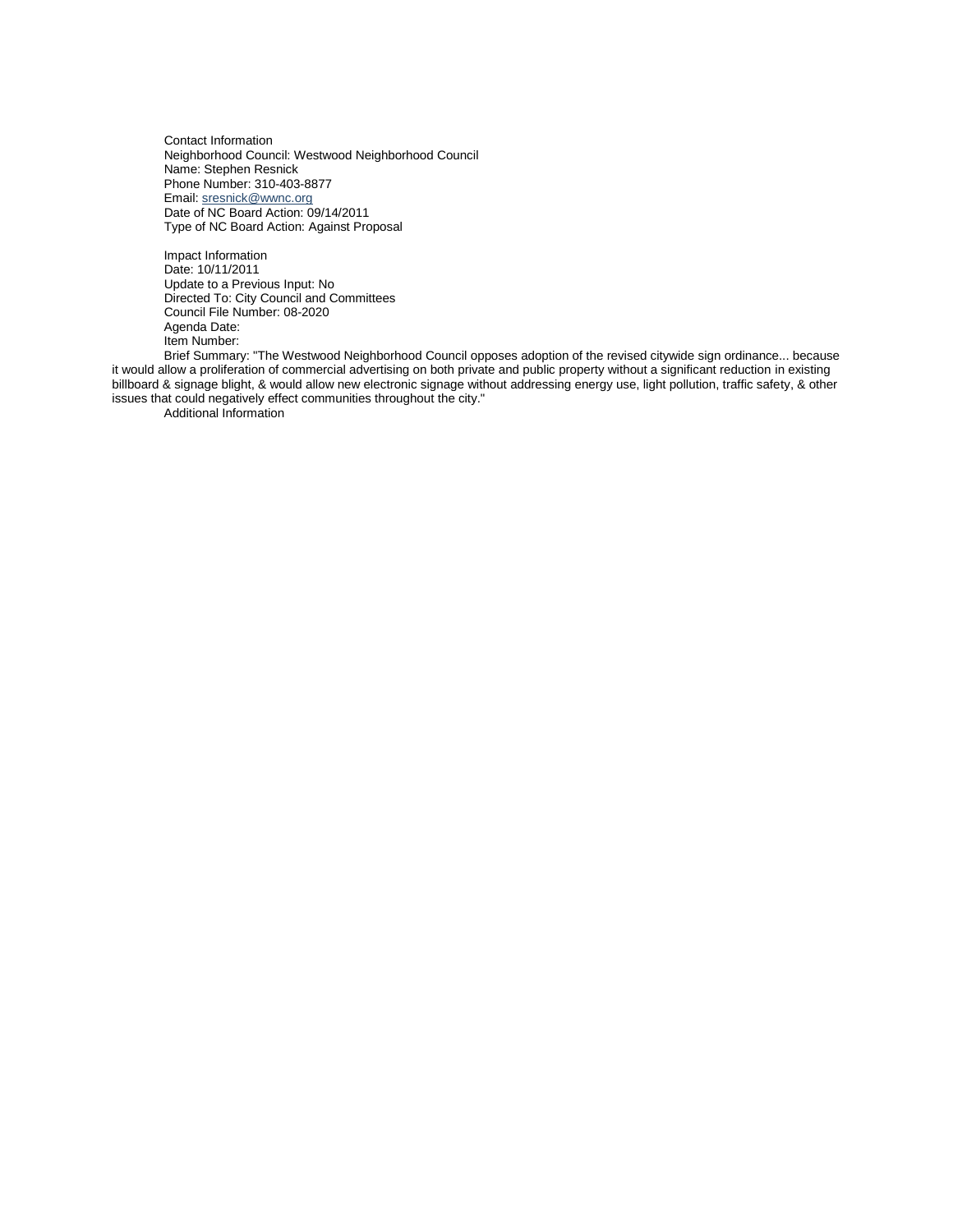Contact Information Neighborhood Council: Westwood Neighborhood Council Name: Stephen Resnick Phone Number: 310-403-8877 Email: [sresnick@wwnc.org](mailto:sresnick@wwnc.org) Date of NC Board Action: 09/14/2011 Type of NC Board Action: Against Proposal

Impact Information Date: 10/11/2011 Update to a Previous Input: No Directed To: City Council and Committees Council File Number: 08-2020 Agenda Date: Item Number:

Brief Summary: "The Westwood Neighborhood Council opposes adoption of the revised citywide sign ordinance... because it would allow a proliferation of commercial advertising on both private and public property without a significant reduction in existing billboard & signage blight, & would allow new electronic signage without addressing energy use, light pollution, traffic safety, & other issues that could negatively effect communities throughout the city."

Additional Information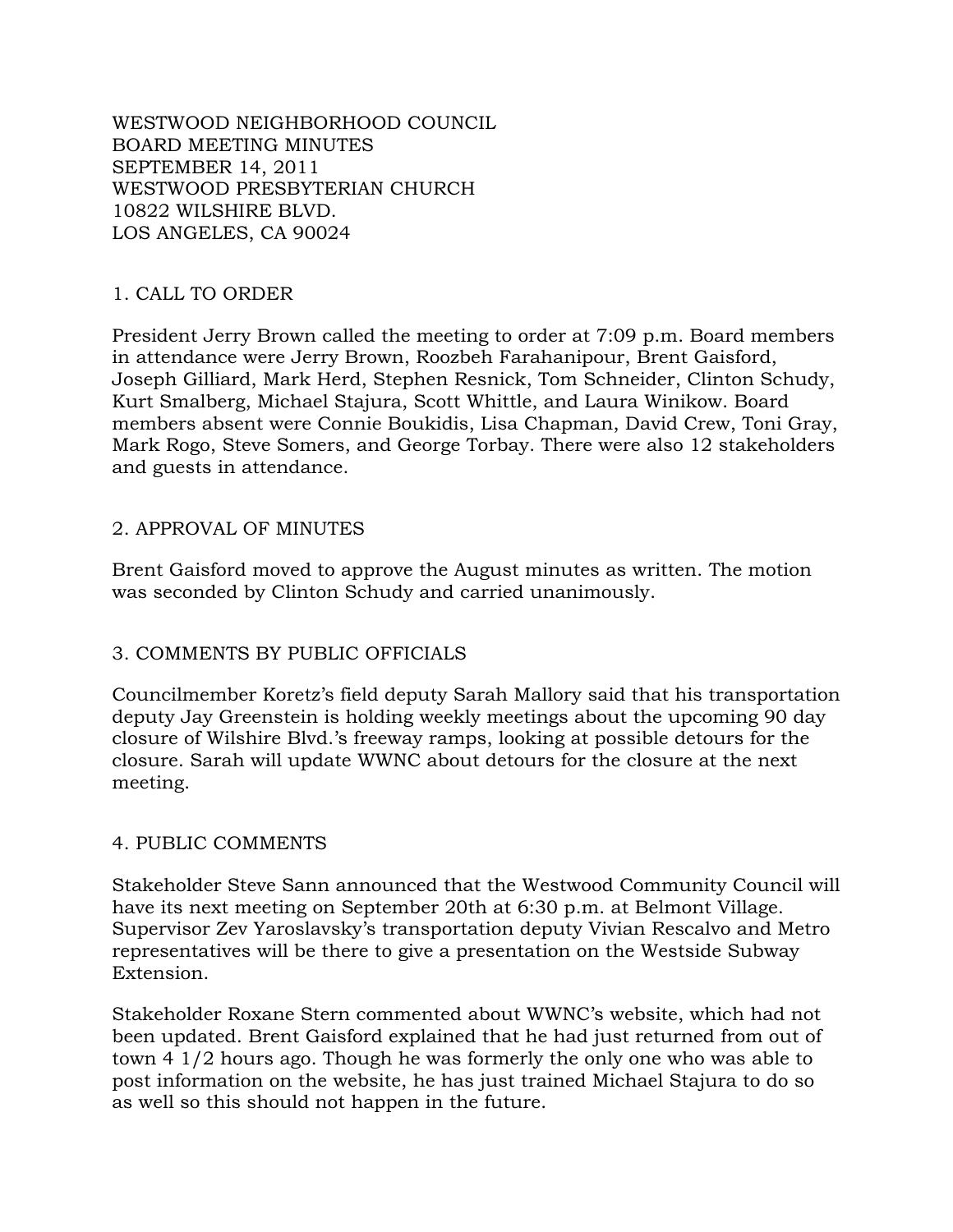WESTWOOD NEIGHBORHOOD COUNCIL BOARD MEETING MINUTES SEPTEMBER 14, 2011 WESTWOOD PRESBYTERIAN CHURCH 10822 WILSHIRE BLVD. LOS ANGELES, CA 90024

### 1. CALL TO ORDER

President Jerry Brown called the meeting to order at 7:09 p.m. Board members in attendance were Jerry Brown, Roozbeh Farahanipour, Brent Gaisford, Joseph Gilliard, Mark Herd, Stephen Resnick, Tom Schneider, Clinton Schudy, Kurt Smalberg, Michael Stajura, Scott Whittle, and Laura Winikow. Board members absent were Connie Boukidis, Lisa Chapman, David Crew, Toni Gray, Mark Rogo, Steve Somers, and George Torbay. There were also 12 stakeholders and guests in attendance.

### 2. APPROVAL OF MINUTES

Brent Gaisford moved to approve the August minutes as written. The motion was seconded by Clinton Schudy and carried unanimously.

#### 3. COMMENTS BY PUBLIC OFFICIALS

Councilmember Koretz's field deputy Sarah Mallory said that his transportation deputy Jay Greenstein is holding weekly meetings about the upcoming 90 day closure of Wilshire Blvd.'s freeway ramps, looking at possible detours for the closure. Sarah will update WWNC about detours for the closure at the next meeting.

#### 4. PUBLIC COMMENTS

Stakeholder Steve Sann announced that the Westwood Community Council will have its next meeting on September 20th at 6:30 p.m. at Belmont Village. Supervisor Zev Yaroslavsky's transportation deputy Vivian Rescalvo and Metro representatives will be there to give a presentation on the Westside Subway Extension.

Stakeholder Roxane Stern commented about WWNC's website, which had not been updated. Brent Gaisford explained that he had just returned from out of town 4 1/2 hours ago. Though he was formerly the only one who was able to post information on the website, he has just trained Michael Stajura to do so as well so this should not happen in the future.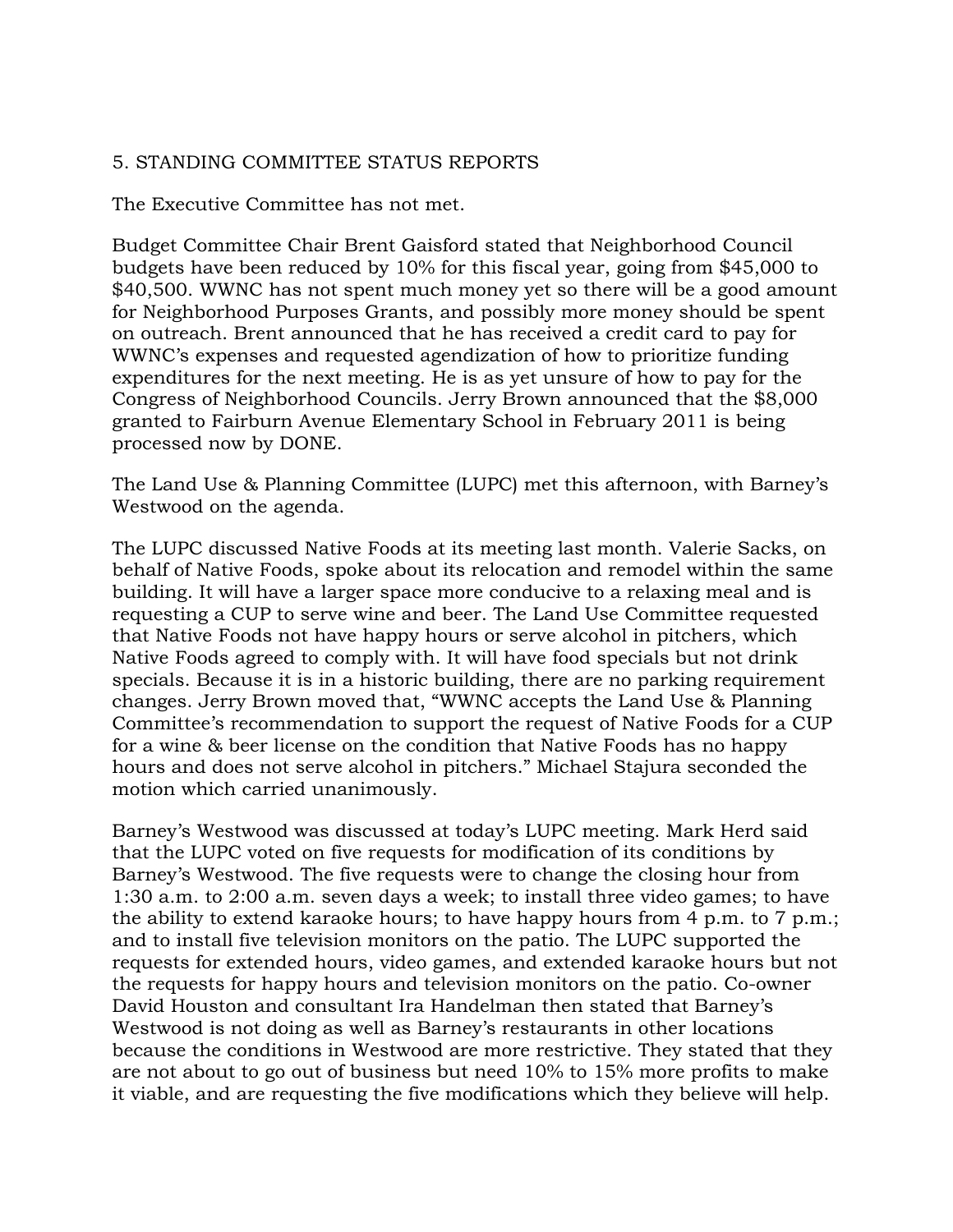### 5. STANDING COMMITTEE STATUS REPORTS

The Executive Committee has not met.

Budget Committee Chair Brent Gaisford stated that Neighborhood Council budgets have been reduced by 10% for this fiscal year, going from \$45,000 to \$40,500. WWNC has not spent much money yet so there will be a good amount for Neighborhood Purposes Grants, and possibly more money should be spent on outreach. Brent announced that he has received a credit card to pay for WWNC's expenses and requested agendization of how to prioritize funding expenditures for the next meeting. He is as yet unsure of how to pay for the Congress of Neighborhood Councils. Jerry Brown announced that the \$8,000 granted to Fairburn Avenue Elementary School in February 2011 is being processed now by DONE.

The Land Use & Planning Committee (LUPC) met this afternoon, with Barney's Westwood on the agenda.

The LUPC discussed Native Foods at its meeting last month. Valerie Sacks, on behalf of Native Foods, spoke about its relocation and remodel within the same building. It will have a larger space more conducive to a relaxing meal and is requesting a CUP to serve wine and beer. The Land Use Committee requested that Native Foods not have happy hours or serve alcohol in pitchers, which Native Foods agreed to comply with. It will have food specials but not drink specials. Because it is in a historic building, there are no parking requirement changes. Jerry Brown moved that, "WWNC accepts the Land Use & Planning Committee's recommendation to support the request of Native Foods for a CUP for a wine & beer license on the condition that Native Foods has no happy hours and does not serve alcohol in pitchers." Michael Stajura seconded the motion which carried unanimously.

Barney's Westwood was discussed at today's LUPC meeting. Mark Herd said that the LUPC voted on five requests for modification of its conditions by Barney's Westwood. The five requests were to change the closing hour from 1:30 a.m. to 2:00 a.m. seven days a week; to install three video games; to have the ability to extend karaoke hours; to have happy hours from 4 p.m. to 7 p.m.; and to install five television monitors on the patio. The LUPC supported the requests for extended hours, video games, and extended karaoke hours but not the requests for happy hours and television monitors on the patio. Co-owner David Houston and consultant Ira Handelman then stated that Barney's Westwood is not doing as well as Barney's restaurants in other locations because the conditions in Westwood are more restrictive. They stated that they are not about to go out of business but need 10% to 15% more profits to make it viable, and are requesting the five modifications which they believe will help.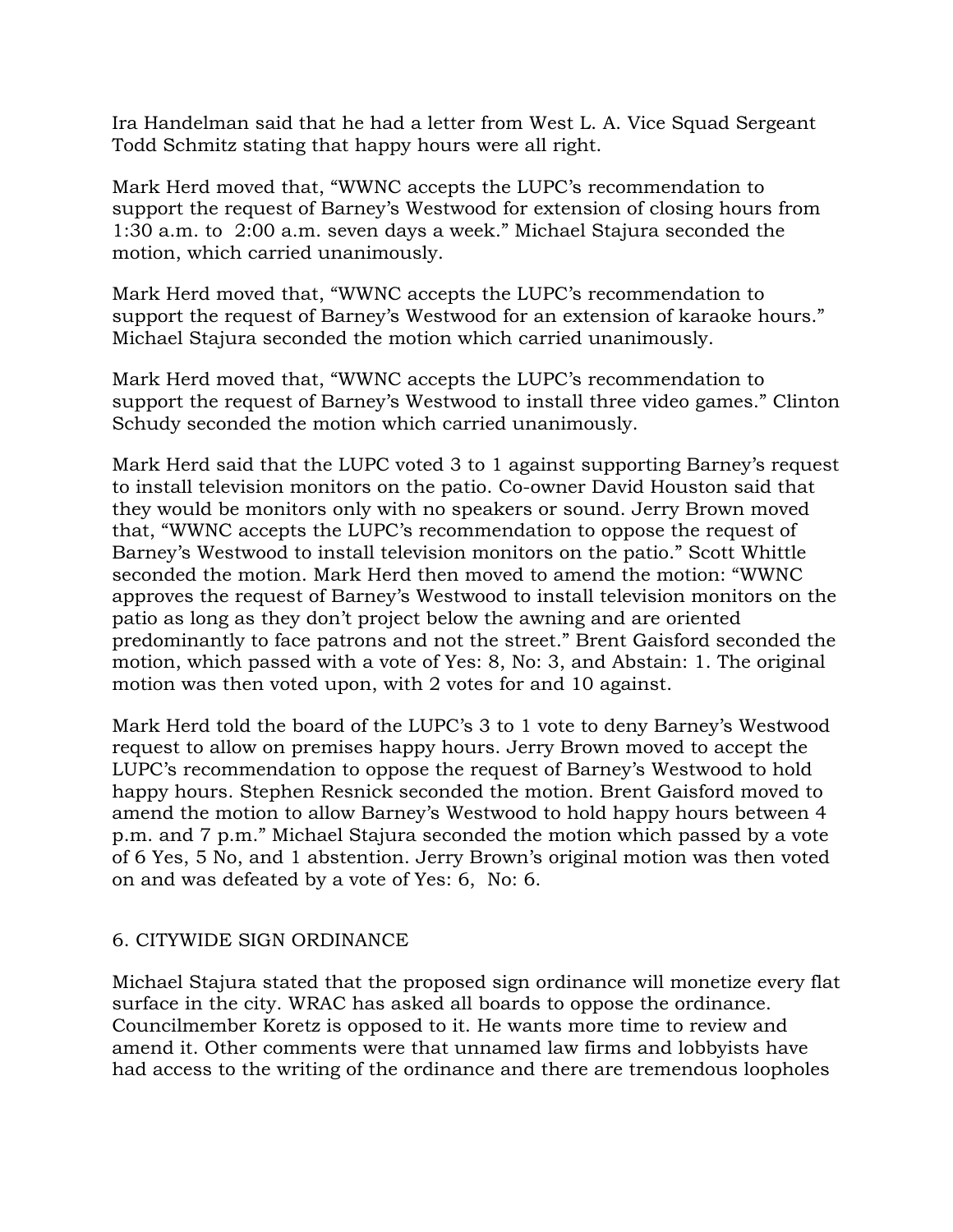Ira Handelman said that he had a letter from West L. A. Vice Squad Sergeant Todd Schmitz stating that happy hours were all right.

Mark Herd moved that, "WWNC accepts the LUPC's recommendation to support the request of Barney's Westwood for extension of closing hours from 1:30 a.m. to 2:00 a.m. seven days a week." Michael Stajura seconded the motion, which carried unanimously.

Mark Herd moved that, "WWNC accepts the LUPC's recommendation to support the request of Barney's Westwood for an extension of karaoke hours." Michael Stajura seconded the motion which carried unanimously.

Mark Herd moved that, "WWNC accepts the LUPC's recommendation to support the request of Barney's Westwood to install three video games." Clinton Schudy seconded the motion which carried unanimously.

Mark Herd said that the LUPC voted 3 to 1 against supporting Barney's request to install television monitors on the patio. Co-owner David Houston said that they would be monitors only with no speakers or sound. Jerry Brown moved that, "WWNC accepts the LUPC's recommendation to oppose the request of Barney's Westwood to install television monitors on the patio." Scott Whittle seconded the motion. Mark Herd then moved to amend the motion: "WWNC approves the request of Barney's Westwood to install television monitors on the patio as long as they don't project below the awning and are oriented predominantly to face patrons and not the street." Brent Gaisford seconded the motion, which passed with a vote of Yes: 8, No: 3, and Abstain: 1. The original motion was then voted upon, with 2 votes for and 10 against.

Mark Herd told the board of the LUPC's 3 to 1 vote to deny Barney's Westwood request to allow on premises happy hours. Jerry Brown moved to accept the LUPC's recommendation to oppose the request of Barney's Westwood to hold happy hours. Stephen Resnick seconded the motion. Brent Gaisford moved to amend the motion to allow Barney's Westwood to hold happy hours between 4 p.m. and 7 p.m." Michael Stajura seconded the motion which passed by a vote of 6 Yes, 5 No, and 1 abstention. Jerry Brown's original motion was then voted on and was defeated by a vote of Yes: 6, No: 6.

## 6. CITYWIDE SIGN ORDINANCE

Michael Stajura stated that the proposed sign ordinance will monetize every flat surface in the city. WRAC has asked all boards to oppose the ordinance. Councilmember Koretz is opposed to it. He wants more time to review and amend it. Other comments were that unnamed law firms and lobbyists have had access to the writing of the ordinance and there are tremendous loopholes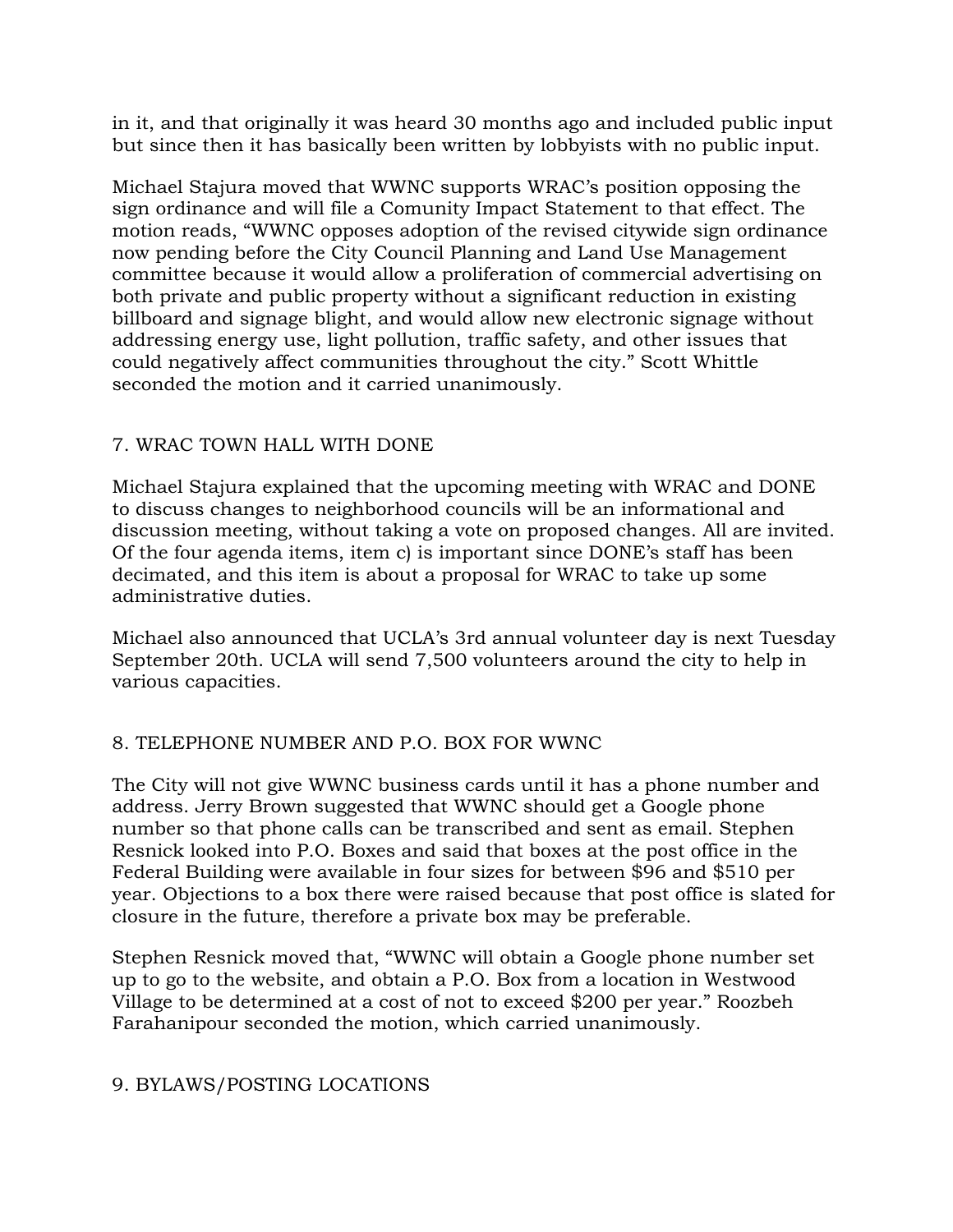in it, and that originally it was heard 30 months ago and included public input but since then it has basically been written by lobbyists with no public input.

Michael Stajura moved that WWNC supports WRAC's position opposing the sign ordinance and will file a Comunity Impact Statement to that effect. The motion reads, "WWNC opposes adoption of the revised citywide sign ordinance now pending before the City Council Planning and Land Use Management committee because it would allow a proliferation of commercial advertising on both private and public property without a significant reduction in existing billboard and signage blight, and would allow new electronic signage without addressing energy use, light pollution, traffic safety, and other issues that could negatively affect communities throughout the city." Scott Whittle seconded the motion and it carried unanimously.

# 7. WRAC TOWN HALL WITH DONE

Michael Stajura explained that the upcoming meeting with WRAC and DONE to discuss changes to neighborhood councils will be an informational and discussion meeting, without taking a vote on proposed changes. All are invited. Of the four agenda items, item c) is important since DONE's staff has been decimated, and this item is about a proposal for WRAC to take up some administrative duties.

Michael also announced that UCLA's 3rd annual volunteer day is next Tuesday September 20th. UCLA will send 7,500 volunteers around the city to help in various capacities.

## 8. TELEPHONE NUMBER AND P.O. BOX FOR WWNC

The City will not give WWNC business cards until it has a phone number and address. Jerry Brown suggested that WWNC should get a Google phone number so that phone calls can be transcribed and sent as email. Stephen Resnick looked into P.O. Boxes and said that boxes at the post office in the Federal Building were available in four sizes for between \$96 and \$510 per year. Objections to a box there were raised because that post office is slated for closure in the future, therefore a private box may be preferable.

Stephen Resnick moved that, "WWNC will obtain a Google phone number set up to go to the website, and obtain a P.O. Box from a location in Westwood Village to be determined at a cost of not to exceed \$200 per year." Roozbeh Farahanipour seconded the motion, which carried unanimously.

## 9. BYLAWS/POSTING LOCATIONS